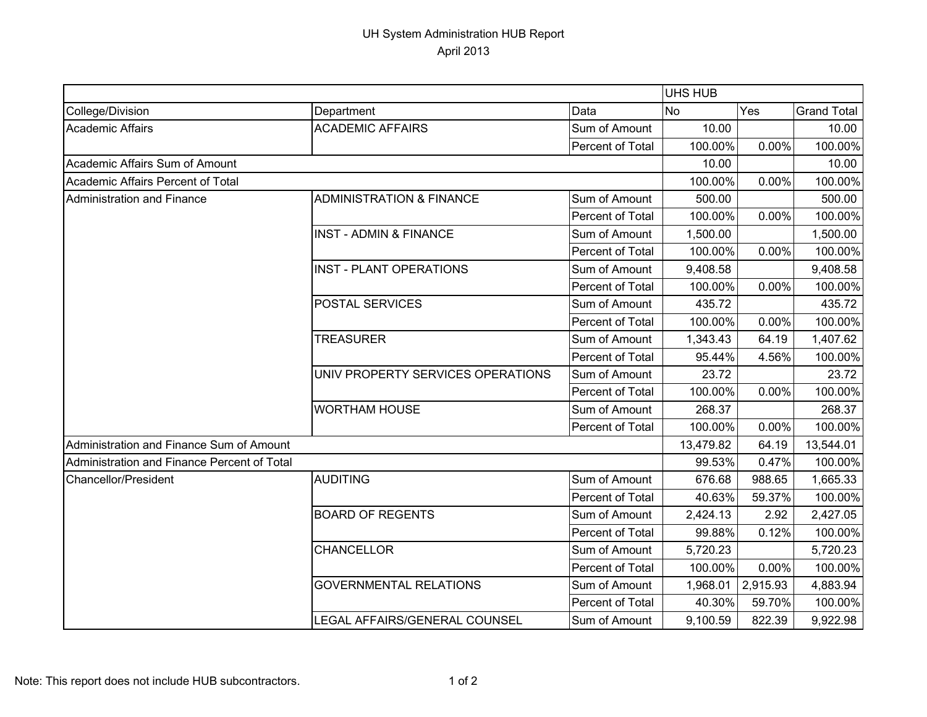## UH System Administration HUB Report April 2013

|                                             |                                     |                  | UHS HUB          |          |                    |
|---------------------------------------------|-------------------------------------|------------------|------------------|----------|--------------------|
| College/Division                            | Department                          | Data             | <b>No</b><br>Yes |          | <b>Grand Total</b> |
| <b>Academic Affairs</b>                     | <b>ACADEMIC AFFAIRS</b>             | Sum of Amount    | 10.00            |          | 10.00              |
|                                             |                                     | Percent of Total | 100.00%          | 0.00%    | 100.00%            |
| Academic Affairs Sum of Amount              |                                     |                  | 10.00            |          | 10.00              |
| Academic Affairs Percent of Total           |                                     |                  | 100.00%          | 0.00%    | 100.00%            |
| Administration and Finance                  | <b>ADMINISTRATION &amp; FINANCE</b> | Sum of Amount    | 500.00           |          | 500.00             |
|                                             |                                     | Percent of Total | 100.00%          | 0.00%    | 100.00%            |
|                                             | <b>INST - ADMIN &amp; FINANCE</b>   | Sum of Amount    | 1,500.00         |          | 1,500.00           |
|                                             |                                     | Percent of Total | 100.00%          | 0.00%    | 100.00%            |
|                                             | INST - PLANT OPERATIONS             | Sum of Amount    | 9,408.58         |          | 9,408.58           |
|                                             |                                     | Percent of Total | 100.00%          | 0.00%    | 100.00%            |
|                                             | <b>POSTAL SERVICES</b>              | Sum of Amount    | 435.72           |          | 435.72             |
|                                             |                                     | Percent of Total | 100.00%          | 0.00%    | 100.00%            |
|                                             | <b>TREASURER</b>                    | Sum of Amount    | 1,343.43         | 64.19    | 1,407.62           |
|                                             |                                     | Percent of Total | 95.44%           | 4.56%    | 100.00%            |
|                                             | UNIV PROPERTY SERVICES OPERATIONS   | Sum of Amount    | 23.72            |          | 23.72              |
|                                             |                                     | Percent of Total | 100.00%          | 0.00%    | 100.00%            |
|                                             | <b>WORTHAM HOUSE</b>                | Sum of Amount    | 268.37           |          | 268.37             |
|                                             |                                     | Percent of Total | 100.00%          | 0.00%    | 100.00%            |
| Administration and Finance Sum of Amount    |                                     |                  | 13,479.82        | 64.19    | 13,544.01          |
| Administration and Finance Percent of Total |                                     |                  | 99.53%           | 0.47%    | 100.00%            |
| Chancellor/President                        | AUDITING                            | Sum of Amount    | 676.68           | 988.65   | 1,665.33           |
|                                             |                                     | Percent of Total | 40.63%           | 59.37%   | 100.00%            |
|                                             | <b>BOARD OF REGENTS</b>             | Sum of Amount    | 2,424.13         | 2.92     | 2,427.05           |
|                                             |                                     | Percent of Total | 99.88%           | 0.12%    | 100.00%            |
|                                             | <b>CHANCELLOR</b>                   | Sum of Amount    | 5,720.23         |          | 5,720.23           |
|                                             |                                     | Percent of Total | 100.00%          | 0.00%    | 100.00%            |
|                                             | <b>GOVERNMENTAL RELATIONS</b>       | Sum of Amount    | 1,968.01         | 2,915.93 | 4,883.94           |
|                                             |                                     | Percent of Total | 40.30%           | 59.70%   | 100.00%            |
|                                             | LEGAL AFFAIRS/GENERAL COUNSEL       | Sum of Amount    | 9,100.59         | 822.39   | 9,922.98           |